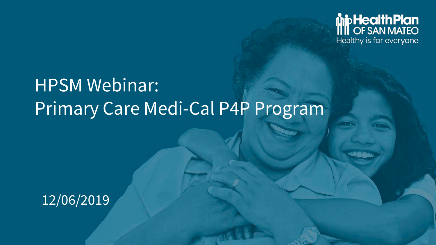

# HPSM Webinar: Primary Care Medi-Cal P4P Program

### $\overline{12/06/2019}$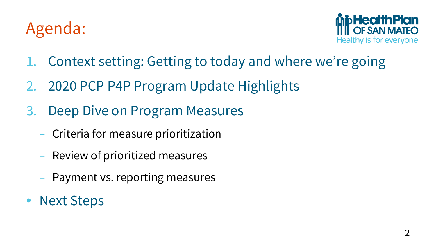## Agenda:



- 1. Context setting: Getting to today and where we're going
- 2. 2020 PCP P4P Program Update Highlights
- 3. Deep Dive on Program Measures
	- Criteria for measure prioritization
	- Review of prioritized measures
	- Payment vs. reporting measures
- **Next Steps**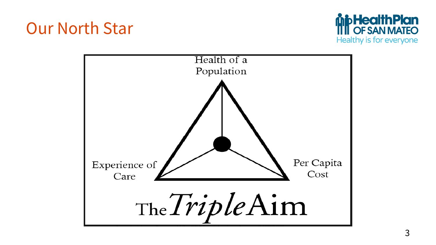## Our North Star



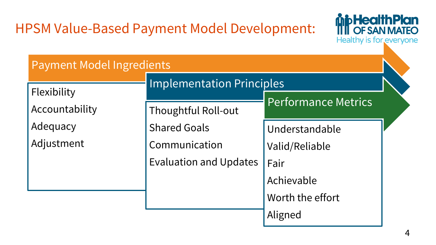### HPSM Value-Based Payment Model Development:



### Payment Model Ingredients

|                | <b>Implementation Principles</b> |                     |  |
|----------------|----------------------------------|---------------------|--|
| Flexibility    |                                  |                     |  |
| Accountability | Thoughtful Roll-out              | Performance Metrics |  |
| Adequacy       | <b>Shared Goals</b>              | Understandable      |  |
| Adjustment     | Communication                    | Valid/Reliable      |  |
|                | <b>Evaluation and Updates</b>    | Fair                |  |
|                |                                  | Achievable          |  |
|                |                                  | Worth the effort    |  |
|                |                                  | Aligned             |  |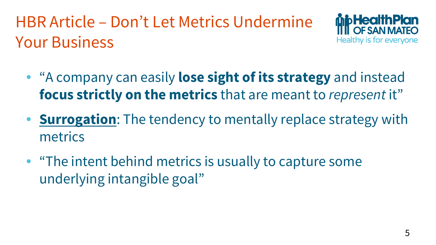HBR Article – Don't Let Metrics Undermine Your Business



- "A company can easily **lose sight of its strategy** and instead **focus strictly on the metrics** that are meant to *represent* it"
- **Surrogation**: The tendency to mentally replace strategy with metrics
- "The intent behind metrics is usually to capture some underlying intangible goal"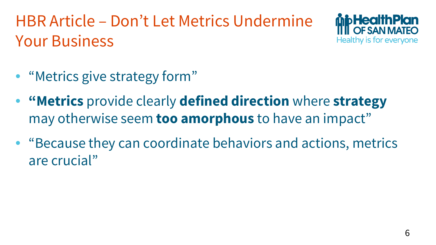HBR Article – Don't Let Metrics Undermine Your Business



- "Metrics give strategy form"
- **"Metrics** provide clearly **defined direction** where **strategy** may otherwise seem **too amorphous** to have an impact"
- "Because they can coordinate behaviors and actions, metrics are crucial"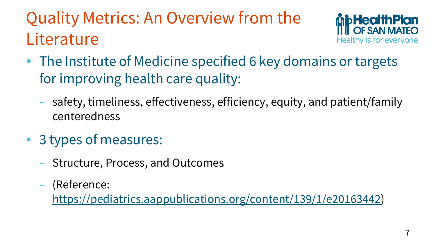# Quality Metrics: An Overview from the **Literature**



- The Institute of Medicine specified 6 key domains or targets for improving health care quality:
	- safety, timeliness, effectiveness, efficiency, equity, and patient/family centeredness
- 3 types of measures:
	- Structure, Process, and Outcomes
	- (Reference:

[https://pediatrics.aappublications.org/content/139/1/e20163442\)](https://pediatrics.aappublications.org/content/139/1/e20163442)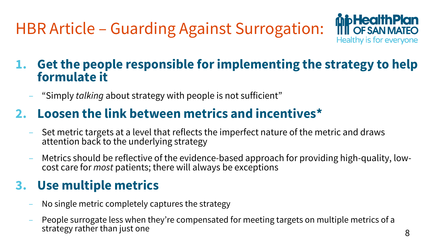HBR Article – Guarding Against Surrogation:



### **1. Get the people responsible for implementing the strategy to help formulate it**

– "Simply *talking* about strategy with people is not sufficient"

### **2. Loosen the link between metrics and incentives\***

- Set metric targets at a level that reflects the imperfect nature of the metric and draws attention back to the underlying strategy
- Metrics should be reflective of the evidence-based approach for providing high-quality, low- cost care for *most* patients; there will always be exceptions

### **3. Use multiple metrics**

- No single metric completely captures the strategy
- People surrogate less when they're compensated for meeting targets on multiple metrics of a strategy rather than just one  $\overline{8}$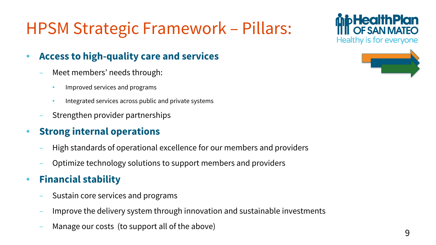# HPSM Strategic Framework – Pillars:

#### • **Access to high-quality care and services**

- Meet members' needs through:
	- Improved services and programs
	- Integrated services across public and private systems
- Strengthen provider partnerships

#### • **Strong internal operations**

- High standards of operational excellence for our members and providers
- Optimize technology solutions to support members and providers

#### • **Financial stability**

- Sustain core services and programs
- Improve the delivery system through innovation and sustainable investments
- Manage our costs (to support all of the above) and the set of the set of the set of the set of the set of the  $9$

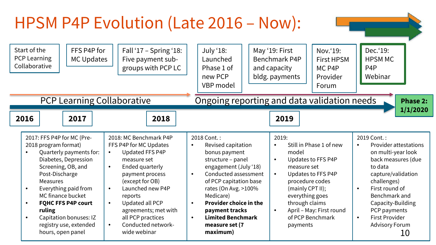### HPSM P4P Evolution (Late 2016 – Now):

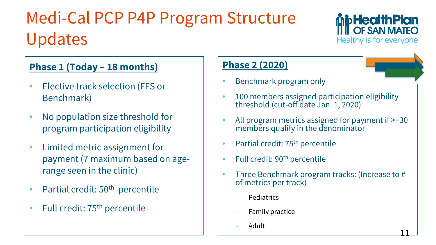# Medi-Cal PCP P4P Program Structure Updates



11

#### **Phase 1 (Today – 18 months)**

- Elective track selection (FFS or Benchmark)
- No population size threshold for program participation eligibility
- Limited metric assignment for payment (7 maximum based on agerange seen in the clinic)
- Partial credit: 50<sup>th</sup> percentile
- Full credit: 75<sup>th</sup> percentile

#### **Phase 2 (2020)**

- Benchmark program only
- 100 members assigned participation eligibility threshold (cut-off date Jan. 1, 2020)
- All program metrics assigned for payment if  $>=$ 30 members qualify in the denominator
- Partial credit: 75<sup>th</sup> percentile
- Full credit: 90<sup>th</sup> percentile
- Three Benchmark program tracks: (Increase to # of metrics per track)
	- Pediatrics
	- Family practice
	- Adult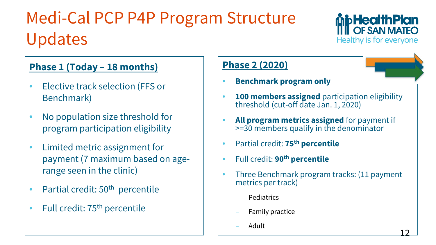# Medi-Cal PCP P4P Program Structure Updates



#### **Phase 1 (Today – 18 months)**

- Elective track selection (FFS or Benchmark)
- No population size threshold for program participation eligibility
- Limited metric assignment for payment (7 maximum based on agerange seen in the clinic)
- Partial credit: 50<sup>th</sup> percentile
- Full credit: 75<sup>th</sup> percentile

#### **Phase 2 (2020)**

- **Benchmark program only**
- **100 members assigned** participation eligibility threshold (cut-off date Jan. 1, 2020)
- **All program metrics assigned** for payment if >=30 members qualify in the denominator
- Partial credit: **75th percentile**
- Full credit: **90th percentile**
- Three Benchmark program tracks: (11 payment metrics per track)
	- Pediatrics
	- Family practice
	- Adult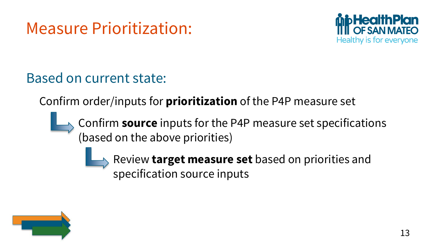## Measure Prioritization:



### Based on current state:

Confirm order/inputs for **prioritization** of the P4P measure set

Confirm **source** inputs for the P4P measure set specifications (based on the above priorities)

> Review **target measure set** based on priorities and specification source inputs

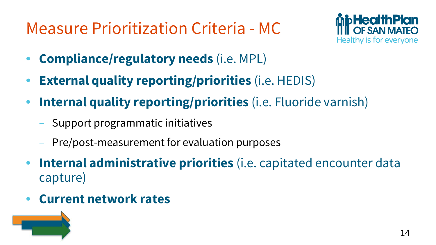## Measure Prioritization Criteria - MC



- **Compliance/regulatory needs** (i.e. MPL)
- **External quality reporting/priorities** (i.e. HEDIS)
- **Internal quality reporting/priorities** (i.e. Fluoride varnish)
	- Support programmatic initiatives
	- Pre/post-measurement for evaluation purposes
- **Internal administrative priorities** (i.e. capitated encounter data capture)
- **Current network rates**

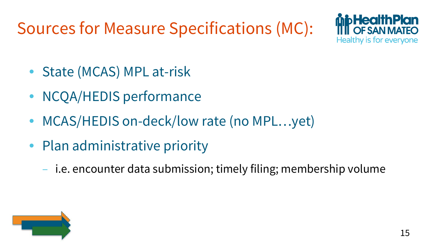Sources for Measure Specifications (MC):



- State (MCAS) MPL at-risk
- NCQA/HEDIS performance
- MCAS/HEDIS on-deck/low rate (no MPL...yet)
- Plan administrative priority
	- i.e. encounter data submission; timely filing; membership volume

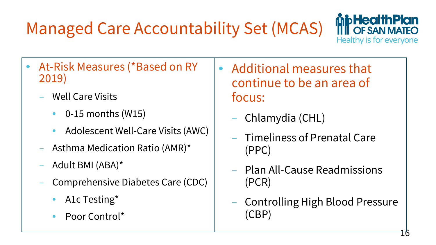# Managed Care Accountability Set (MCAS)



- At-Risk Measures (\*Based on RY 2019)
	- Well Care Visits
		- 0-15 months (W15)
		- Adolescent Well-Care Visits (AWC)
	- Asthma Medication Ratio (AMR)\*
	- Adult BMI (ABA)\*
	- Comprehensive Diabetes Care (CDC)
		- A1c Testing\*
		- Poor Control\*
- Additional measures that continue to be an area of focus:
	- Chlamydia (CHL)
	- Timeliness of Prenatal Care (PPC)
	- Plan All-Cause Readmissions (PCR)
	- Controlling High Blood Pressure (CBP)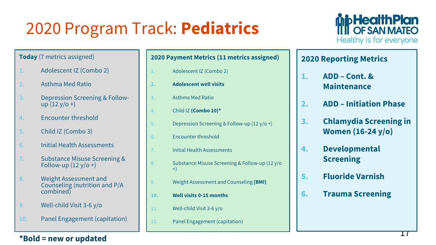# 2020 Program Track: **Pediatrics**



#### **Today** (7 metrics assigned)

- 1. Adolescent IZ (Combo 2)
- 2. Asthma Med Ratio
- 3. Depression Screening & Follow-<br>up  $(12 \text{ y/o +})$
- 4. Encounter threshold
- 5. Child IZ (Combo 3)
- 6. Initial Health Assessments
- 7. Substance Misuse Screening & Follow-up  $(12 y/o +)$
- 8. Weight Assessment and Counseling (nutrition and P/A combined)
- 9. Well-child Visit 3-6 y/o
- 10. Panel Engagement (capitation)

#### **2020 Payment Metrics (11 metrics assigned)**

- 1. Adolescent IZ (Combo 2)
- **2. Adolescent well visits**
- 3. Asthma Med Ratio
- 4. Child IZ **(Combo 10)\***
- 5. Depression Screening & Follow-up (12 y/o +)
- 6. Encounter threshold
- 7. Initial Health Assessments
- 8. Substance Misuse Screening & Follow-up (12 y/o +)
- 9. Weight Assessment and Counseling **(BMI)**
- **10. Well visits 0-15 months**
- 11. Well-child Visit 3-6 y/o
- 12. Panel Engagement (capitation)

#### **2020 Reporting Metrics**

- **1. ADD – Cont. & Maintenance**
- **2. ADD – Initiation Phase**
- **3. Chlamydia Screening in Women (16-24 y/o)**
- **4. Developmental Screening**
- **5. Fluoride Varnish**
- **6. Trauma Screening**

**\*Bold = new or updated**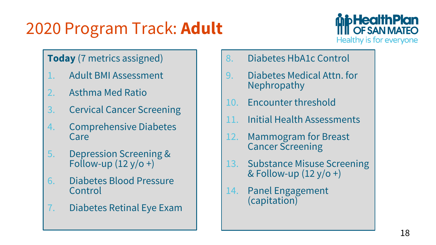# 2020 Program Track: **Adult**



#### **Today** (7 metrics assigned)

- 1. Adult BMI Assessment
- 2. Asthma Med Ratio
- 3. Cervical Cancer Screening
- 4. Comprehensive Diabetes Care
- 5. Depression Screening & Follow-up  $(12 y/o +)$
- 6. Diabetes Blood Pressure Control
- 7. Diabetes Retinal Eye Exam
- 8. Diabetes HbA1c Control
- 9. Diabetes Medical Attn. for Nephropathy
- 10. Encounter threshold
- 11. Initial Health Assessments
- 12. Mammogram for Breast Cancer Screening
- 13. Substance Misuse Screening & Follow-up  $(12 y/o +)$
- 14. Panel Engagement (capitation)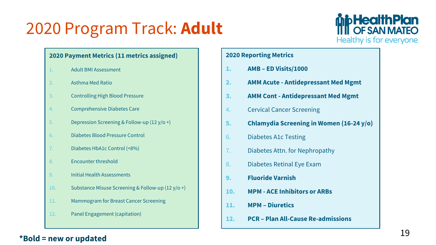## 2020 Program Track: **Adult**



#### **2020 Payment Metrics (11 metrics assigned)**

- 1. Adult BMI Assessment
- 2. Asthma Med Ratio
- 3. Controlling High Blood Pressure
- 4. Comprehensive Diabetes Care
- 5. Depression Screening & Follow-up (12 y/o +)
- 6. Diabetes Blood Pressure Control
- 7. Diabetes HbA1c Control (<8%)
- 8. Encounter threshold
- 9. Initial Health Assessments
- 10. Substance Misuse Screening & Follow-up (12 y/o +)
- 11. Mammogram for Breast Cancer Screening
- 12. Panel Engagement (capitation)

#### **2020 Reporting Metrics**

- **1. AMB – ED Visits/1000**
- **2. AMM Acute - Antidepressant Med Mgmt**
- **3. AMM Cont - Antidepressant Med Mgmt**
- 4. Cervical Cancer Screening
- **5. Chlamydia Screening in Women (16-24 y/o)**
- 6. Diabetes A1c Testing
- 7. Diabetes Attn. for Nephropathy
- 8. Diabetes Retinal Eye Exam
- **9. Fluoride Varnish**
- **10. MPM - ACE Inhibitors or ARBs**
- **11. MPM – Diuretics**
- **12. PCR – Plan All-Cause Re-admissions**

#### **\*Bold = new or updated**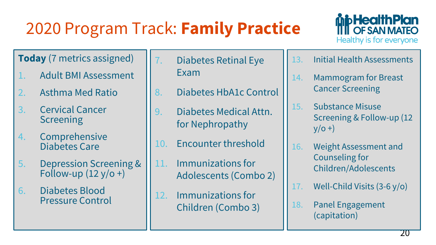# 2020 Program Track: **Family Practice**



#### **Today** (7 metrics assigned)

- 1. Adult BMI Assessment
- 2. Asthma Med Ratio
- 3. Cervical Cancer **Screening**
- 4. Comprehensive Diabetes Care
- 5. Depression Screening & Follow-up  $(12 y/\sigma)$ +)
- 6. Diabetes Blood Pressure Control
- 7. Diabetes Retinal Eye Exam
- 8. Diabetes HbA1c Control
- 9. Diabetes Medical Attn. for Nephropathy
- 10. Encounter threshold
- 11. Immunizations for Adolescents (Combo 2)
- 12. Immunizations for Children (Combo 3)
- 13. Initial Health Assessments
- 14. Mammogram for Breast Cancer Screening
- 15. Substance Misuse Screening & Follow-up (12  $y/O +$
- 16. Weight Assessment and Counseling for Children/Adolescents
- 17. Well-Child Visits (3-6 y/o)
- 18. Panel Engagement (capitation)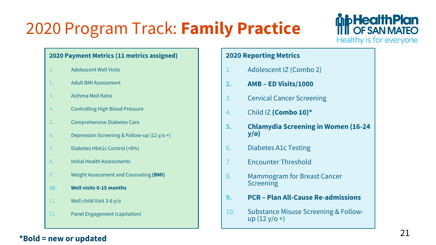# 2020 Program Track: **Family Practice**



#### **2020 Payment Metrics (11 metrics assigned)**

- 1. Adolescent Well Visits
- 2. Adult BMI Assessment
- 3. Asthma Med Ratio
- 4. Controlling High Blood Pressure
- 5. Comprehensive Diabetes Care
- 6. Depression Screening & Follow-up  $(12 \text{ y/o +})$
- 7. Diabetes HbA1c Control (<8%)
- 8. Initial Health Assessments
- 9. Weight Assessment and Counseling **(BMI)**
- **10. Well visits 0-15 months**
- 11. Well-child Visit 3-6 y/o
- 12. Panel Engagement (capitation)

#### **2020 Reporting Metrics**

- 1. Adolescent IZ (Combo 2)
- **2. AMB – ED Visits/1000**
- 3. Cervical Cancer Screening
- 4. Child IZ **(Combo 10)\***
- **5. Chlamydia Screening in Women (16-24 y/o)**
- 6. Diabetes A1c Testing
- 7. Encounter Threshold
- 8. Mammogram for Breast Cancer Screening
- **9. PCR – Plan All-Cause Re-admissions**
- 10. Substance Misuse Screening & Follow- up (12 y/o +)

#### **\*Bold = new or updated**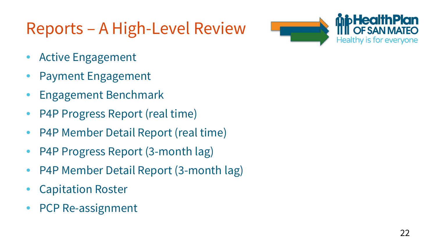## Reports – A High-Level Review



- Active Engagement
- Payment Engagement
- Engagement Benchmark
- P4P Progress Report (real time)
- P4P Member Detail Report (real time)
- P4P Progress Report (3-month lag)
- P4P Member Detail Report (3-month lag)
- Capitation Roster
- PCP Re-assignment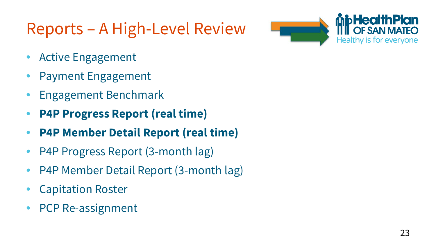## Reports – A High-Level Review



- Active Engagement
- Payment Engagement
- Engagement Benchmark
- **P4P Progress Report (real time)**
- **P4P Member Detail Report (real time)**
- P4P Progress Report (3-month lag)
- P4P Member Detail Report (3-month lag)
- Capitation Roster
- PCP Re-assignment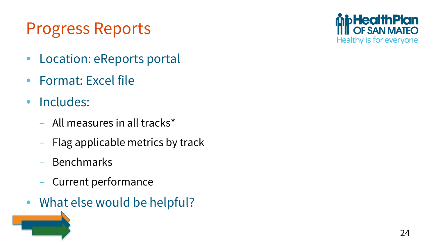## Progress Reports

- Location: eReports portal
- Format: Excel file
- Includes:
	- All measures in all tracks\*
	- Flag applicable metrics by track
	- Benchmarks
	- Current performance
- What else would be helpful?

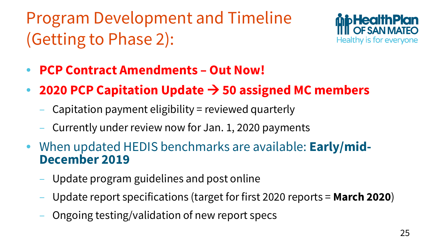Program Development and Timeline (Getting to Phase 2):



- **PCP Contract Amendments – Out Now!**
- **2020 PCP Capitation Update → 50 assigned MC members** 
	- Capitation payment eligibility = reviewed quarterly
	- Currently under review now for Jan. 1, 2020 payments
- When updated HEDIS benchmarks are available: **Early/mid- December 2019**
	- Update program guidelines and post online
	- Update report specifications (target for first 2020 reports = **March 2020**)
	- Ongoing testing/validation of new report specs